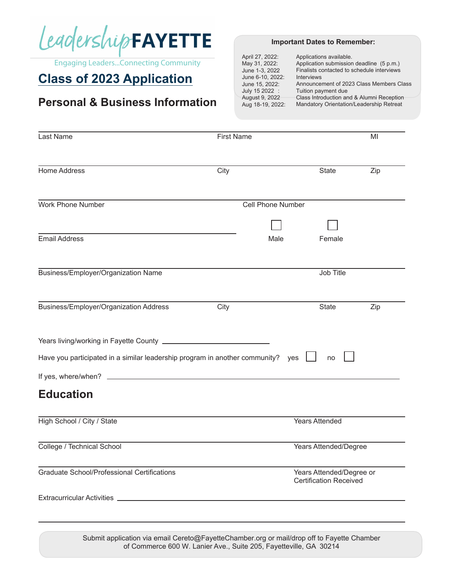

# **Class of 2023 Application**

### **Personal & Business Information**

#### **Important Dates to Remember:**

April 27, 2022: Applications available. Application submission deadline (5 p.m.) May 31, 2022: June 1-3, 2022 Finalists contacted to schedule interviews June 6-10, 2022: Interviews June 15, 2022: Announcement of 2023 Class Members Class July 15 2022 : Tuition payment due August 9, 2022 Class Introduction and & Alumni Reception Aug 18-19, 2022: Mandatory Orientation/Leadership Retreat

| Last Name                                                                                  | <b>First Name</b> |                                                           | MI  |  |
|--------------------------------------------------------------------------------------------|-------------------|-----------------------------------------------------------|-----|--|
|                                                                                            |                   |                                                           |     |  |
| <b>Home Address</b>                                                                        | City              | <b>State</b>                                              | Zip |  |
| <b>Work Phone Number</b>                                                                   | Cell Phone Number |                                                           |     |  |
|                                                                                            |                   |                                                           |     |  |
| <b>Email Address</b>                                                                       |                   | Male<br>Female                                            |     |  |
| Business/Employer/Organization Name                                                        |                   | Job Title                                                 |     |  |
| Business/Employer/Organization Address                                                     | City              | <b>State</b>                                              | Zip |  |
|                                                                                            |                   |                                                           |     |  |
| Have you participated in a similar leadership program in another community? yes            |                   | no                                                        |     |  |
|                                                                                            |                   |                                                           |     |  |
| <b>Education</b>                                                                           |                   |                                                           |     |  |
| High School / City / State                                                                 |                   | <b>Years Attended</b>                                     |     |  |
| College / Technical School                                                                 |                   | <b>Years Attended/Degree</b>                              |     |  |
| <b>Graduate School/Professional Certifications</b>                                         |                   | Years Attended/Degree or<br><b>Certification Received</b> |     |  |
|                                                                                            |                   |                                                           |     |  |
| Submit application via email Cereto@EavetteChamber org or mail/drop off to Eavette Chamber |                   |                                                           |     |  |

 $\alpha$ ation via email Cereto@FayetteChamber.org or mail/drop off of Commerce 600 W. Lanier Ave., Suite 205, Fayetteville, GA 30214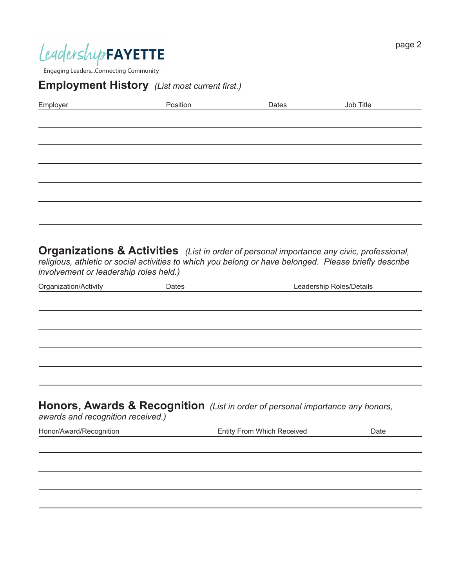

## **Employment History** *(List most current first.)*

| Employer                               | Position | Dates                                                                                                                                                                                                          | Job Title                |
|----------------------------------------|----------|----------------------------------------------------------------------------------------------------------------------------------------------------------------------------------------------------------------|--------------------------|
|                                        |          |                                                                                                                                                                                                                |                          |
|                                        |          |                                                                                                                                                                                                                |                          |
|                                        |          |                                                                                                                                                                                                                |                          |
|                                        |          |                                                                                                                                                                                                                |                          |
|                                        |          |                                                                                                                                                                                                                |                          |
|                                        |          |                                                                                                                                                                                                                |                          |
|                                        |          |                                                                                                                                                                                                                |                          |
| involvement or leadership roles held.) |          | <b>Organizations &amp; Activities</b> (List in order of personal importance any civic, professional,<br>religious, athletic or social activities to which you belong or have belonged. Please briefly describe |                          |
| Organization/Activity                  | Dates    |                                                                                                                                                                                                                | Leadership Roles/Details |
|                                        |          |                                                                                                                                                                                                                |                          |
|                                        |          |                                                                                                                                                                                                                |                          |
|                                        |          |                                                                                                                                                                                                                |                          |
|                                        |          |                                                                                                                                                                                                                |                          |
|                                        |          |                                                                                                                                                                                                                |                          |
| awards and recognition received.)      |          | <b>Honors, Awards &amp; Recognition</b> (List in order of personal importance any honors,                                                                                                                      |                          |
| Honor/Award/Recognition                |          | Entity From Which Received                                                                                                                                                                                     | Date                     |
|                                        |          |                                                                                                                                                                                                                |                          |
|                                        |          |                                                                                                                                                                                                                |                          |
|                                        |          |                                                                                                                                                                                                                |                          |
|                                        |          |                                                                                                                                                                                                                |                          |
|                                        |          |                                                                                                                                                                                                                |                          |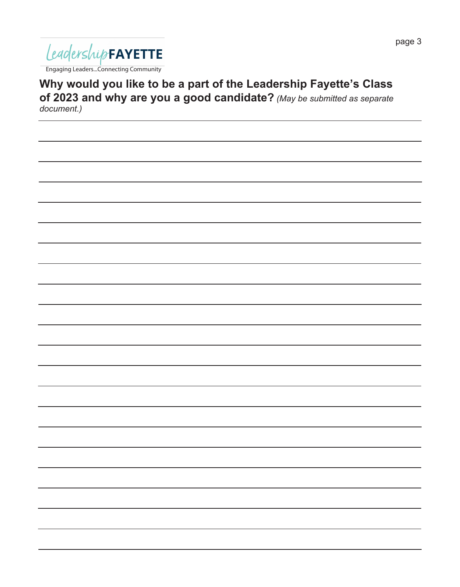

**Why would you like to be a part of the Leadership Fayette's Class of 2023 and why are you a good candidate?** *(May be submitted as separate document.)*